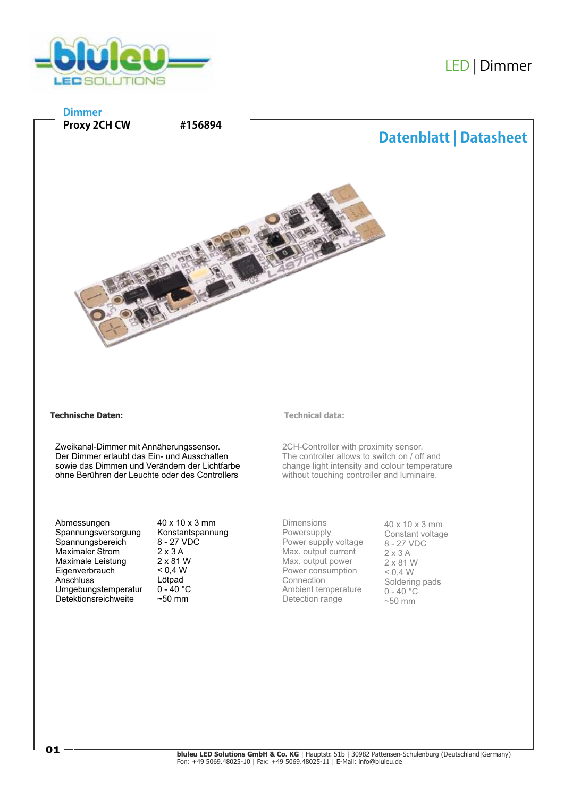





## **Technische Daten: Technical data:**

Zweikanal-Dimmer mit Annäherungssensor. Der Dimmer erlaubt das Ein- und Ausschalten sowie das Dimmen und Verändern der Lichtfarbe ohne Berühren der Leuchte oder des Controllers

Abmessungen Spannungsversorgung Spannungsbereich Maximaler Strom Maximale Leistung **Eigenverbrauch Anschluss** Umgebungstemperatur Detektionsreichweite

40 x 10 x 3 mm Konstantspannung 8 - 27 VDC 2 x 3 A 2 x 81 W  $< 0.4 W$ Lötpad  $0 - 40 °C$  $~50$  mm

2CH-Controller with proximity sensor. The controller allows to switch on / off and change light intensity and colour temperature without touching controller and luminaire.

Dimensions Powersupply Power supply voltage Max. output current Max. output power Power consumption Connection Ambient temperature Detection range

40 x 10 x 3 mm Constant voltage 8 - 27 VDC 2 x 3 A 2 x 81 W  $< 0.4 W$ Soldering pads  $0 - 40$  °C  $~50$  mm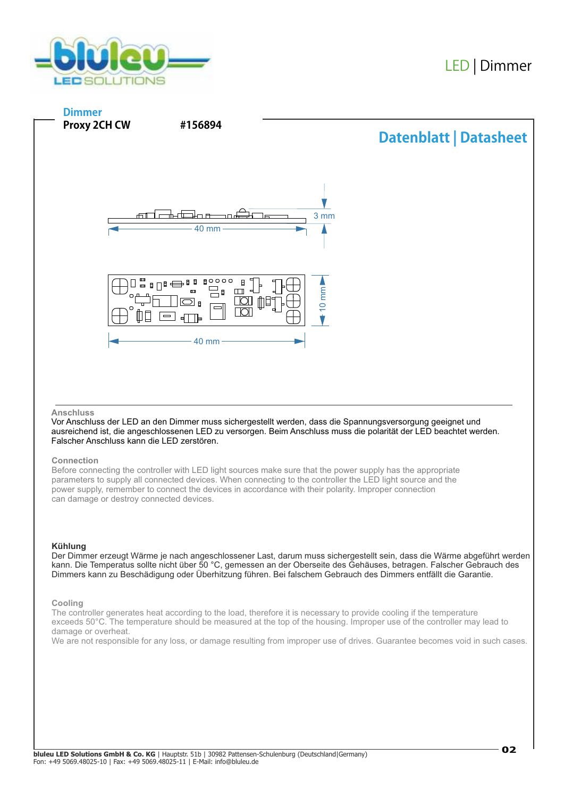



## **Anschluss**

Vor Anschluss der LED an den Dimmer muss sichergestellt werden, dass die Spannungsversorgung geeignet und ausreichend ist, die angeschlossenen LED zu versorgen. Beim Anschluss muss die polarität der LED beachtet werden. Falscher Anschluss kann die LED zerstören.

# **Connection**

Before connecting the controller with LED light sources make sure that the power supply has the appropriate parameters to supply all connected devices. When connecting to the controller the LED light source and the power supply, remember to connect the devices in accordance with their polarity. Improper connection can damage or destroy connected devices.

## **Kühlung**

Der Dimmer erzeugt Wärme je nach angeschlossener Last, darum muss sichergestellt sein, dass die Wärme abgeführt werden kann. Die Temperatus sollte nicht über 50 °C, gemessen an der Oberseite des Gehäuses, betragen. Falscher Gebrauch des Dimmers kann zu Beschädigung oder Überhitzung führen. Bei falschem Gebrauch des Dimmers entfällt die Garantie.

## **Cooling**

The controller generates heat according to the load, therefore it is necessary to provide cooling if the temperature exceeds 50°C. The temperature should be measured at the top of the housing. Improper use of the controller may lead to damage or overheat.

We are not responsible for any loss, or damage resulting from improper use of drives. Guarantee becomes void in such cases.